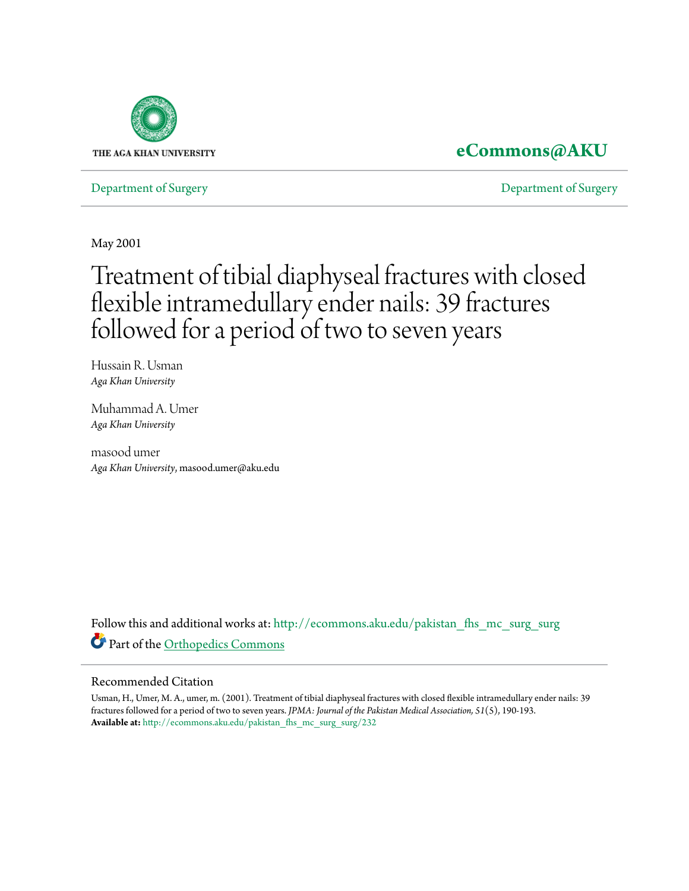

### **[eCommons@AKU](http://ecommons.aku.edu?utm_source=ecommons.aku.edu%2Fpakistan_fhs_mc_surg_surg%2F232&utm_medium=PDF&utm_campaign=PDFCoverPages)**

[Department of Surgery](http://ecommons.aku.edu/pakistan_fhs_mc_surg_surg?utm_source=ecommons.aku.edu%2Fpakistan_fhs_mc_surg_surg%2F232&utm_medium=PDF&utm_campaign=PDFCoverPages) [Department of Surgery](http://ecommons.aku.edu/pakistan_fhs_mc_surg?utm_source=ecommons.aku.edu%2Fpakistan_fhs_mc_surg_surg%2F232&utm_medium=PDF&utm_campaign=PDFCoverPages)

May 2001

# Treatment of tibial diaphyseal fractures with closed flexible intramedullary ender nails: 39 fractures followed for a period of two to seven years

Hussain R. Usman *Aga Khan University*

Muhammad A. Umer *Aga Khan University*

masood umer *Aga Khan University*, masood.umer@aku.edu

Follow this and additional works at: [http://ecommons.aku.edu/pakistan\\_fhs\\_mc\\_surg\\_surg](http://ecommons.aku.edu/pakistan_fhs_mc_surg_surg?utm_source=ecommons.aku.edu%2Fpakistan_fhs_mc_surg_surg%2F232&utm_medium=PDF&utm_campaign=PDFCoverPages) Part of the [Orthopedics Commons](http://network.bepress.com/hgg/discipline/696?utm_source=ecommons.aku.edu%2Fpakistan_fhs_mc_surg_surg%2F232&utm_medium=PDF&utm_campaign=PDFCoverPages)

#### Recommended Citation

Usman, H., Umer, M. A., umer, m. (2001). Treatment of tibial diaphyseal fractures with closed flexible intramedullary ender nails: 39 fractures followed for a period of two to seven years. *JPMA: Journal of the Pakistan Medical Association, 51*(5), 190-193. **Available at:** [http://ecommons.aku.edu/pakistan\\_fhs\\_mc\\_surg\\_surg/232](http://ecommons.aku.edu/pakistan_fhs_mc_surg_surg/232)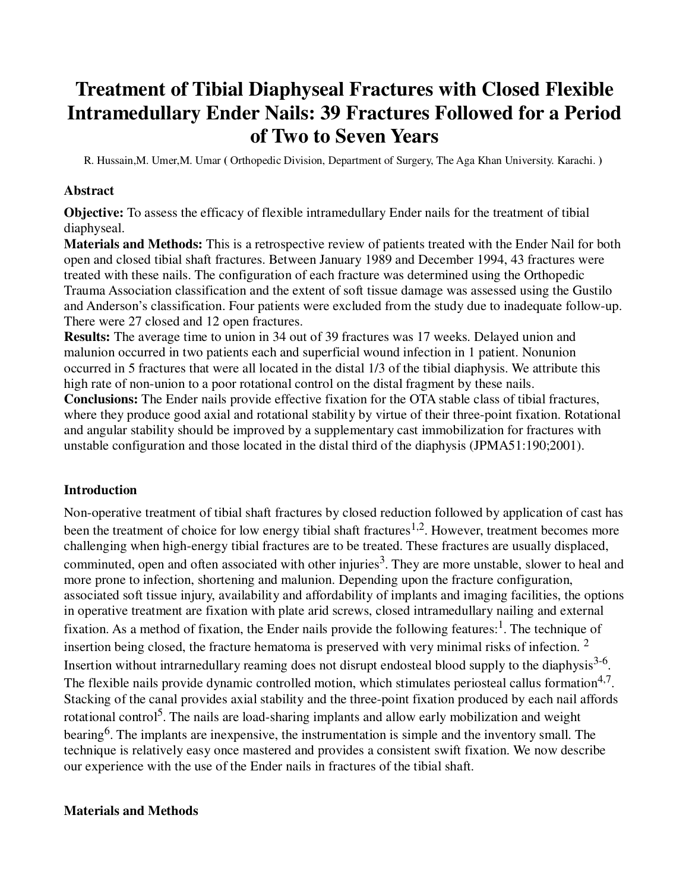## **Treatment of Tibial Diaphyseal Fractures with Closed Flexible Intramedullary Ender Nails: 39 Fractures Followed for a Period of Two to Seven Years**

R. Hussain,M. Umer,M. Umar **(** Orthopedic Division, Department of Surgery, The Aga Khan University. Karachi. **)** 

#### **Abstract**

**Objective:** To assess the efficacy of flexible intramedullary Ender nails for the treatment of tibial diaphyseal.

**Materials and Methods:** This is a retrospective review of patients treated with the Ender Nail for both open and closed tibial shaft fractures. Between January 1989 and December 1994, 43 fractures were treated with these nails. The configuration of each fracture was determined using the Orthopedic Trauma Association classification and the extent of soft tissue damage was assessed using the Gustilo and Anderson's classification. Four patients were excluded from the study due to inadequate follow-up. There were 27 closed and 12 open fractures.

**Results:** The average time to union in 34 out of 39 fractures was 17 weeks. Delayed union and malunion occurred in two patients each and superficial wound infection in 1 patient. Nonunion occurred in 5 fractures that were all located in the distal 1/3 of the tibial diaphysis. We attribute this high rate of non-union to a poor rotational control on the distal fragment by these nails.

**Conclusions:** The Ender nails provide effective fixation for the OTA stable class of tibial fractures, where they produce good axial and rotational stability by virtue of their three-point fixation. Rotational and angular stability should be improved by a supplementary cast immobilization for fractures with unstable configuration and those located in the distal third of the diaphysis (JPMA51:190;2001).

#### **Introduction**

Non-operative treatment of tibial shaft fractures by closed reduction followed by application of cast has been the treatment of choice for low energy tibial shaft fractures<sup>1,2</sup>. However, treatment becomes more challenging when high-energy tibial fractures are to be treated. These fractures are usually displaced, comminuted, open and often associated with other injuries<sup>3</sup>. They are more unstable, slower to heal and more prone to infection, shortening and malunion. Depending upon the fracture configuration, associated soft tissue injury, availability and affordability of implants and imaging facilities, the options in operative treatment are fixation with plate arid screws, closed intramedullary nailing and external fixation. As a method of fixation, the Ender nails provide the following features:<sup>1</sup>. The technique of insertion being closed, the fracture hematoma is preserved with very minimal risks of infection. <sup>2</sup> Insertion without intrarnedullary reaming does not disrupt endosteal blood supply to the diaphysis $3-6$ . The flexible nails provide dynamic controlled motion, which stimulates periosteal callus formation<sup>4,7</sup>. Stacking of the canal provides axial stability and the three-point fixation produced by each nail affords rotational control<sup>5</sup>. The nails are load-sharing implants and allow early mobilization and weight bearing<sup>6</sup>. The implants are inexpensive, the instrumentation is simple and the inventory small. The technique is relatively easy once mastered and provides a consistent swift fixation. We now describe our experience with the use of the Ender nails in fractures of the tibial shaft.

#### **Materials and Methods**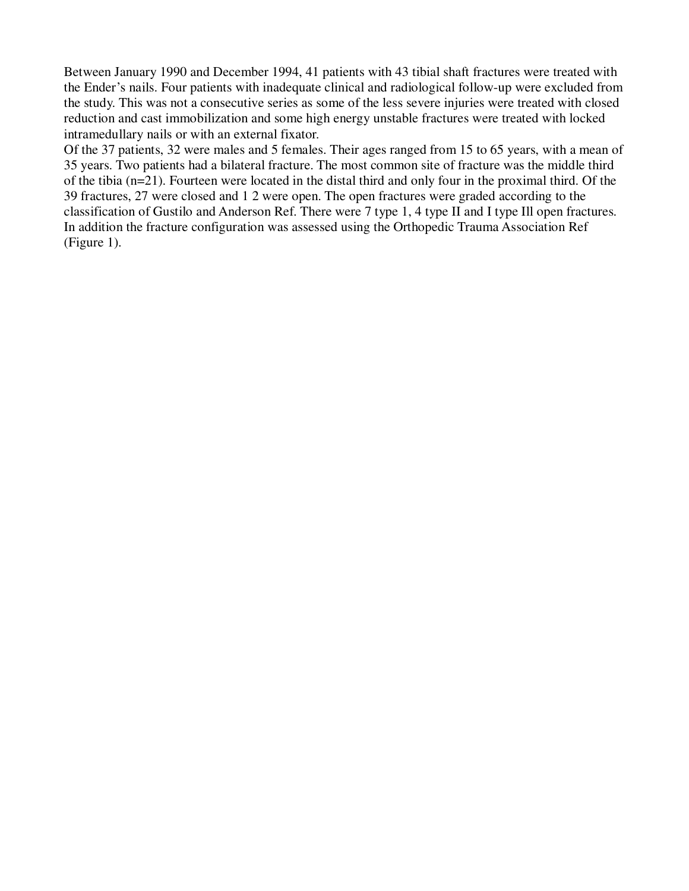Between January 1990 and December 1994, 41 patients with 43 tibial shaft fractures were treated with the Ender's nails. Four patients with inadequate clinical and radiological follow-up were excluded from the study. This was not a consecutive series as some of the less severe injuries were treated with closed reduction and cast immobilization and some high energy unstable fractures were treated with locked intramedullary nails or with an external fixator.

Of the 37 patients, 32 were males and 5 females. Their ages ranged from 15 to 65 years, with a mean of 35 years. Two patients had a bilateral fracture. The most common site of fracture was the middle third of the tibia (n=21). Fourteen were located in the distal third and only four in the proximal third. Of the 39 fractures, 27 were closed and 1 2 were open. The open fractures were graded according to the classification of Gustilo and Anderson Ref. There were 7 type 1, 4 type II and I type Ill open fractures. In addition the fracture configuration was assessed using the Orthopedic Trauma Association Ref (Figure 1).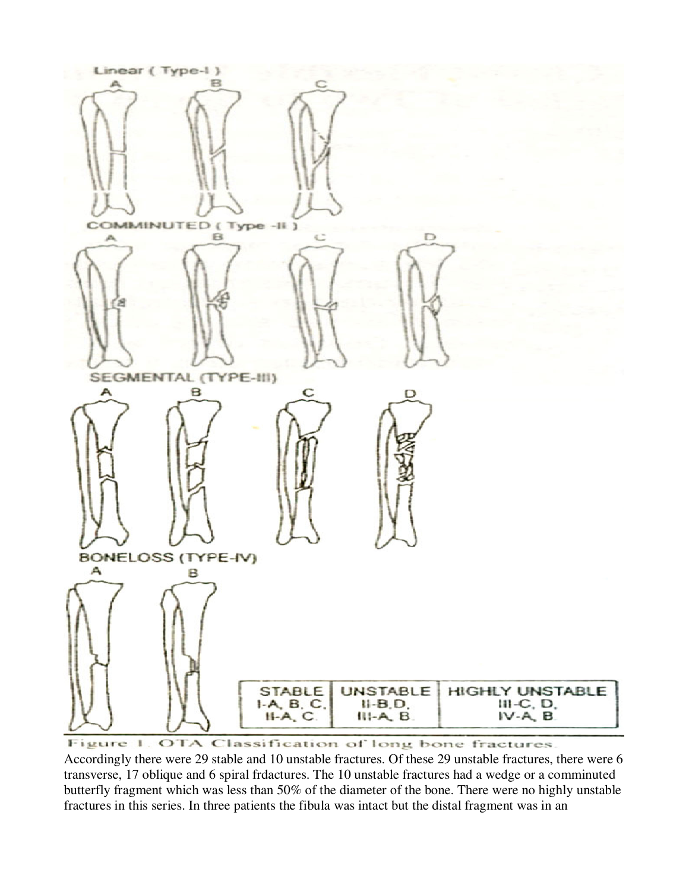

Figure 1 OTA Classification of long bone fractures.

Accordingly there were 29 stable and 10 unstable fractures. Of these 29 unstable fractures, there were 6 transverse, 17 oblique and 6 spiral frdactures. The 10 unstable fractures had a wedge or a comminuted butterfly fragment which was less than 50% of the diameter of the bone. There were no highly unstable fractures in this series. In three patients the fibula was intact but the distal fragment was in an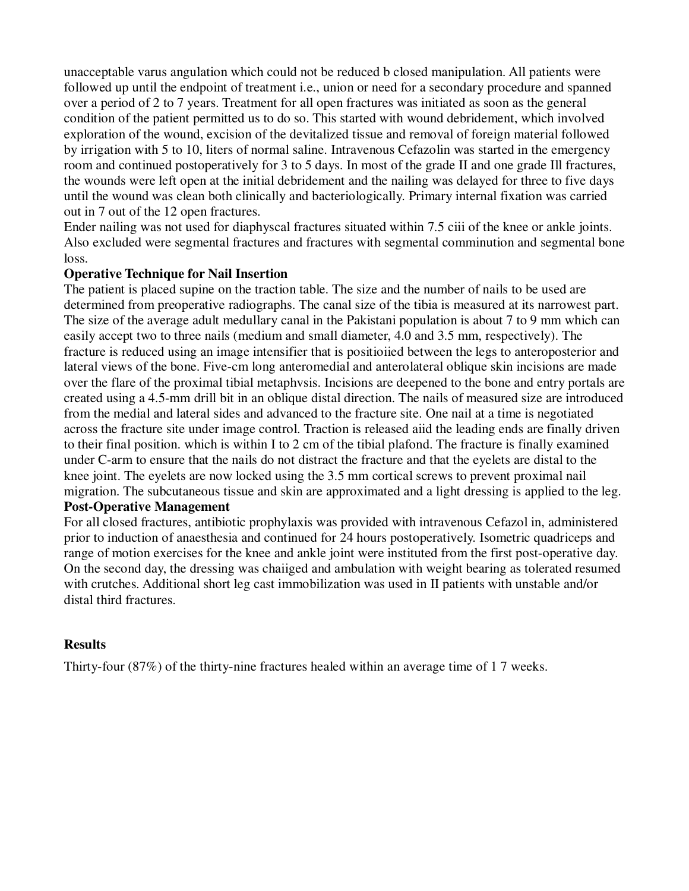unacceptable varus angulation which could not be reduced b closed manipulation. All patients were followed up until the endpoint of treatment i.e., union or need for a secondary procedure and spanned over a period of 2 to 7 years. Treatment for all open fractures was initiated as soon as the general condition of the patient permitted us to do so. This started with wound debridement, which involved exploration of the wound, excision of the devitalized tissue and removal of foreign material followed by irrigation with 5 to 10, liters of normal saline. Intravenous Cefazolin was started in the emergency room and continued postoperatively for 3 to 5 days. In most of the grade II and one grade Ill fractures, the wounds were left open at the initial debridement and the nailing was delayed for three to five days until the wound was clean both clinically and bacteriologically. Primary internal fixation was carried out in 7 out of the 12 open fractures.

Ender nailing was not used for diaphyscal fractures situated within 7.5 ciii of the knee or ankle joints. Also excluded were segmental fractures and fractures with segmental comminution and segmental bone loss.

#### **Operative Technique for Nail Insertion**

The patient is placed supine on the traction table. The size and the number of nails to be used are determined from preoperative radiographs. The canal size of the tibia is measured at its narrowest part. The size of the average adult medullary canal in the Pakistani population is about 7 to 9 mm which can easily accept two to three nails (medium and small diameter, 4.0 and 3.5 mm, respectively). The fracture is reduced using an image intensifier that is positioiied between the legs to anteroposterior and lateral views of the bone. Five-cm long anteromedial and anterolateral oblique skin incisions are made over the flare of the proximal tibial metaphvsis. Incisions are deepened to the bone and entry portals are created using a 4.5-mm drill bit in an oblique distal direction. The nails of measured size are introduced from the medial and lateral sides and advanced to the fracture site. One nail at a time is negotiated across the fracture site under image control. Traction is released aiid the leading ends are finally driven to their final position. which is within I to 2 cm of the tibial plafond. The fracture is finally examined under C-arm to ensure that the nails do not distract the fracture and that the eyelets are distal to the knee joint. The eyelets are now locked using the 3.5 mm cortical screws to prevent proximal nail migration. The subcutaneous tissue and skin are approximated and a light dressing is applied to the leg.

#### **Post-Operative Management**

For all closed fractures, antibiotic prophylaxis was provided with intravenous Cefazol in, administered prior to induction of anaesthesia and continued for 24 hours postoperatively. Isometric quadriceps and range of motion exercises for the knee and ankle joint were instituted from the first post-operative day. On the second day, the dressing was chaiiged and ambulation with weight bearing as tolerated resumed with crutches. Additional short leg cast immobilization was used in II patients with unstable and/or distal third fractures.

#### **Results**

Thirty-four (87%) of the thirty-nine fractures healed within an average time of 1 7 weeks.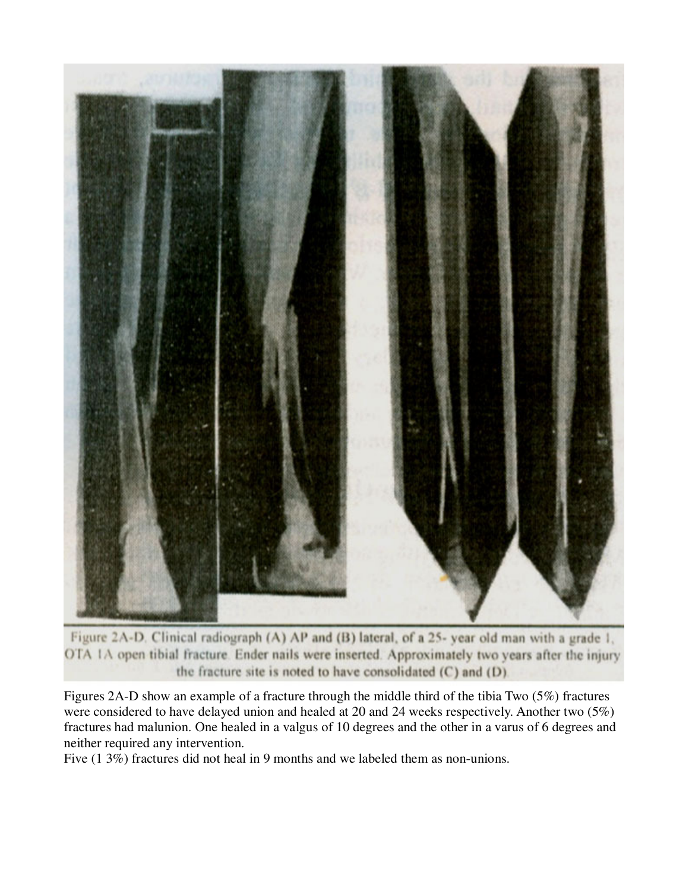

Figure 2A-D. Clinical radiograph (A) AP and (B) lateral, of a 25-year old man with a grade 1. OTA 1A open tibial fracture. Ender nails were inserted. Approximately two years after the injury the fracture site is noted to have consolidated (C) and (D).

Figures 2A-D show an example of a fracture through the middle third of the tibia Two (5%) fractures were considered to have delayed union and healed at 20 and 24 weeks respectively. Another two (5%) fractures had malunion. One healed in a valgus of 10 degrees and the other in a varus of 6 degrees and neither required any intervention.

Five (1 3%) fractures did not heal in 9 months and we labeled them as non-unions.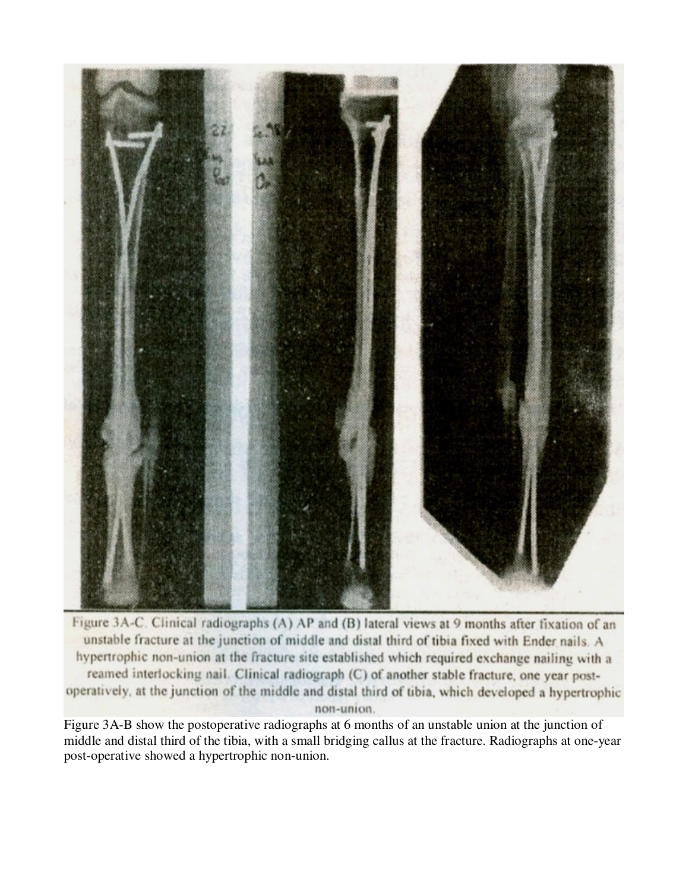

Figure 3A-C. Clinical radiographs (A) AP and (B) lateral views at 9 months after fixation of an unstable fracture at the junction of middle and distal third of tibia fixed with Ender nails. A hypertrophic non-union at the fracture site established which required exchange nailing with a reamed interlocking nail. Clinical radiograph (C) of another stable fracture, one year postoperatively, at the junction of the middle and distal third of tibia, which developed a hypertrophic non-union.

Figure 3A-B show the postoperative radiographs at 6 months of an unstable union at the junction of middle and distal third of the tibia, with a small bridging callus at the fracture. Radiographs at one-year post-operative showed a hypertrophic non-union.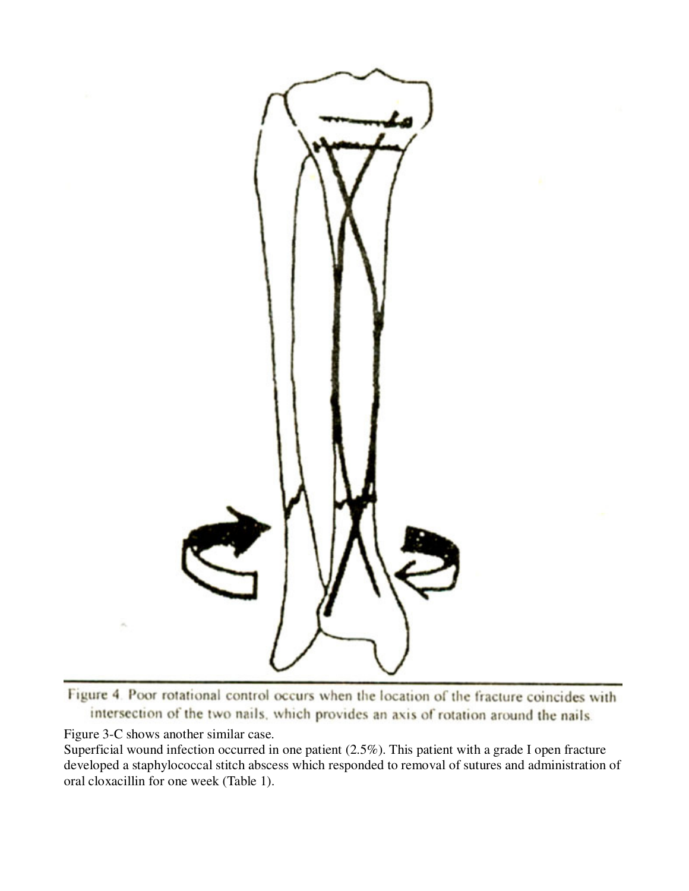

Figure 4. Poor rotational control occurs when the location of the fracture coincides with intersection of the two nails, which provides an axis of rotation around the nails.

Figure 3-C shows another similar case.

Superficial wound infection occurred in one patient (2.5%). This patient with a grade I open fracture developed a staphylococcal stitch abscess which responded to removal of sutures and administration of oral cloxacillin for one week (Table 1).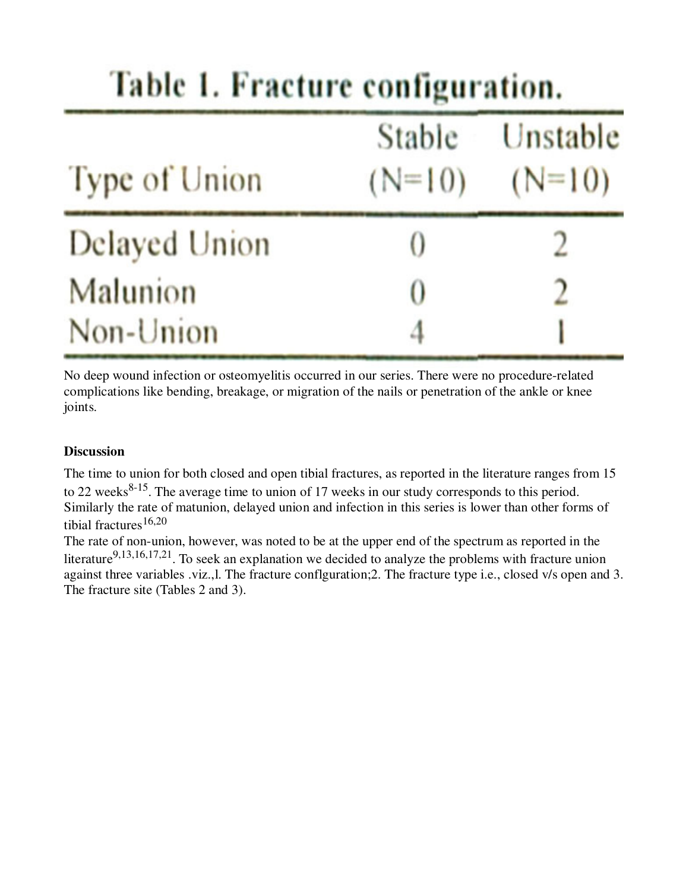| Type of Union | $(N=10)$ | Stable Unstable<br>$(N=10)$ |  |  |
|---------------|----------|-----------------------------|--|--|
| Delayed Union | O        |                             |  |  |
| Malunion      | $\theta$ |                             |  |  |
| Non-Union     | 4        |                             |  |  |

# Table 1. Fracture configuration.

No deep wound infection or osteomyelitis occurred in our series. There were no procedure-related complications like bending, breakage, or migration of the nails or penetration of the ankle or knee joints.

#### **Discussion**

The time to union for both closed and open tibial fractures, as reported in the literature ranges from 15 to 22 weeks $8-15$ . The average time to union of 17 weeks in our study corresponds to this period. Similarly the rate of matunion, delayed union and infection in this series is lower than other forms of tibial fractures $16,20$ 

The rate of non-union, however, was noted to be at the upper end of the spectrum as reported in the literature<sup>9,13,16,17,21</sup>. To seek an explanation we decided to analyze the problems with fracture union against three variables .viz.,l. The fracture conflguration;2. The fracture type i.e., closed v/s open and 3. The fracture site (Tables 2 and 3).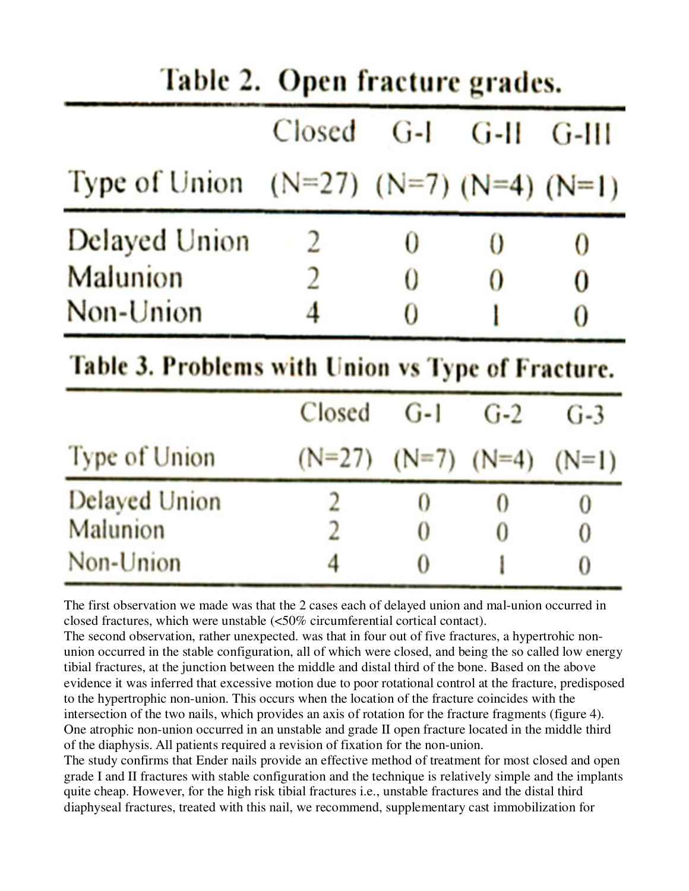| Table 2. Open fracture grades.                    |        |                          |          |         |  |
|---------------------------------------------------|--------|--------------------------|----------|---------|--|
|                                                   | Closed | $G-I$                    | G-II     | G-III   |  |
| Type of Union $(N=27)$ $(N=7)$ $(N=4)$ $(N=1)$    |        |                          |          |         |  |
| Delayed Union                                     | 2      | 0                        | 0        |         |  |
| Malunion                                          | 2      | 0                        | 0        | 0       |  |
| Non-Union                                         | 4      | 0                        |          | 0       |  |
| Table 3. Problems with Union vs Type of Fracture. |        |                          |          |         |  |
|                                                   | Closed | $G-I$                    | $G-2$    | $G-3$   |  |
| Type of Union                                     |        | $(N=27)$ $(N=7)$ $(N=4)$ |          | $(N=1)$ |  |
| Delayed Union                                     | 2      | 0                        | $\theta$ | 0       |  |
| Malunion                                          | 2      | $\theta$                 | 0        | 0       |  |
| Non-Union                                         |        |                          |          |         |  |

The first observation we made was that the 2 cases each of delayed union and mal-union occurred in closed fractures, which were unstable (<50% circumferential cortical contact).

The second observation, rather unexpected. was that in four out of five fractures, a hypertrohic nonunion occurred in the stable configuration, all of which were closed, and being the so called low energy tibial fractures, at the junction between the middle and distal third of the bone. Based on the above evidence it was inferred that excessive motion due to poor rotational control at the fracture, predisposed to the hypertrophic non-union. This occurs when the location of the fracture coincides with the intersection of the two nails, which provides an axis of rotation for the fracture fragments (figure 4). One atrophic non-union occurred in an unstable and grade II open fracture located in the middle third of the diaphysis. All patients required a revision of fixation for the non-union.

The study confirms that Ender nails provide an effective method of treatment for most closed and open grade I and II fractures with stable configuration and the technique is relatively simple and the implants quite cheap. However, for the high risk tibial fractures i.e., unstable fractures and the distal third diaphyseal fractures, treated with this nail, we recommend, supplementary cast immobilization for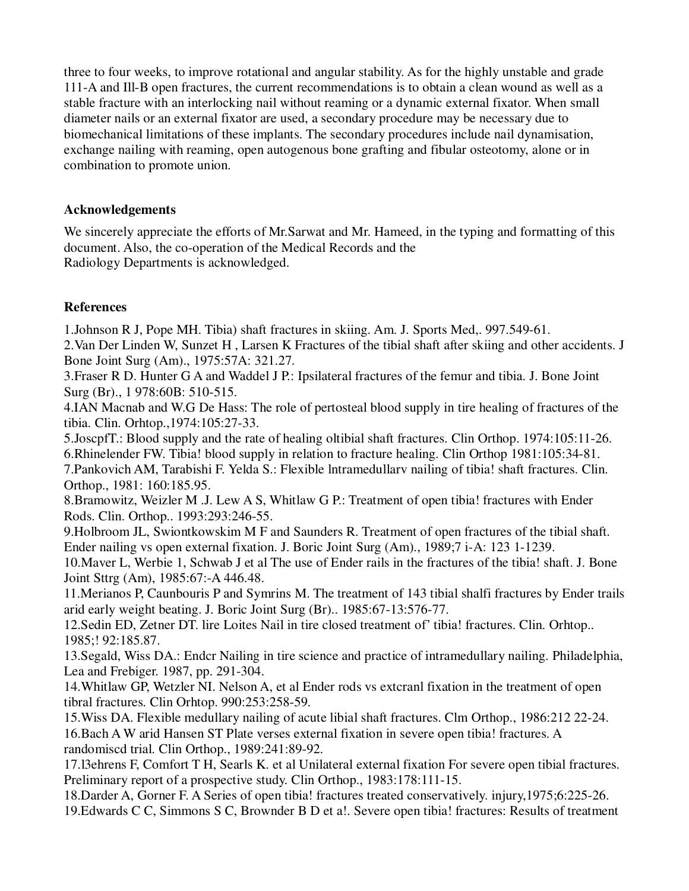three to four weeks, to improve rotational and angular stability. As for the highly unstable and grade 111-A and Ill-B open fractures, the current recommendations is to obtain a clean wound as well as a stable fracture with an interlocking nail without reaming or a dynamic external fixator. When small diameter nails or an external fixator are used, a secondary procedure may be necessary due to biomechanical limitations of these implants. The secondary procedures include nail dynamisation, exchange nailing with reaming, open autogenous bone grafting and fibular osteotomy, alone or in combination to promote union.

#### **Acknowledgements**

We sincerely appreciate the efforts of Mr.Sarwat and Mr. Hameed, in the typing and formatting of this document. Also, the co-operation of the Medical Records and the Radiology Departments is acknowledged.

#### **References**

1.Johnson R J, Pope MH. Tibia) shaft fractures in skiing. Am. J. Sports Med,. 997.549-61.

2.Van Der Linden W, Sunzet H , Larsen K Fractures of the tibial shaft after skiing and other accidents. J Bone Joint Surg (Am)., 1975:57A: 321.27.

3.Fraser R D. Hunter G A and Waddel J P.: Ipsilateral fractures of the femur and tibia. J. Bone Joint Surg (Br)., 1 978:60B: 510-515.

4.IAN Macnab and W.G De Hass: The role of pertosteal blood supply in tire healing of fractures of the tibia. Clin. Orhtop.,1974:105:27-33.

5.JoscpfT.: Blood supply and the rate of healing oltibial shaft fractures. Clin Orthop. 1974:105:11-26. 6.Rhinelender FW. Tibia! blood supply in relation to fracture healing. Clin Orthop 1981:105:34-81.

7.Pankovich AM, Tarabishi F. Yelda S.: Flexible lntramedullarv nailing of tibia! shaft fractures. Clin. Orthop., 1981: 160:185.95.

8.Bramowitz, Weizler M .J. Lew A S, Whitlaw G P.: Treatment of open tibia! fractures with Ender Rods. Clin. Orthop.. 1993:293:246-55.

9.Holbroom JL, Swiontkowskim M F and Saunders R. Treatment of open fractures of the tibial shaft. Ender nailing vs open external fixation. J. Boric Joint Surg (Am)., 1989;7 i-A: 123 1-1239.

10.Maver L, Werbie 1, Schwab J et al The use of Ender rails in the fractures of the tibia! shaft. J. Bone Joint Sttrg (Am), 1985:67:-A 446.48.

11.Merianos P, Caunbouris P and Symrins M. The treatment of 143 tibial shalfi fractures by Ender trails arid early weight beating. J. Boric Joint Surg (Br).. 1985:67-13:576-77.

12.Sedin ED, Zetner DT. lire Loites Nail in tire closed treatment of' tibia! fractures. Clin. Orhtop.. 1985;! 92:185.87.

13.Segald, Wiss DA.: Endcr Nailing in tire science and practice of intramedullary nailing. Philadelphia, Lea and Frebiger. 1987, pp. 291-304.

14.Whitlaw GP, Wetzler NI. Nelson A, et al Ender rods vs extcranl fixation in the treatment of open tibral fractures. Clin Orhtop. 990:253:258-59.

15.Wiss DA. Flexible medullary nailing of acute libial shaft fractures. Clm Orthop., 1986:212 22-24. 16.Bach A W arid Hansen ST Plate verses external fixation in severe open tibia! fractures. A randomiscd trial. Clin Orthop., 1989:241:89-92.

17.l3ehrens F, Comfort T H, Searls K. et al Unilateral external fixation For severe open tibial fractures. Preliminary report of a prospective study. Clin Orthop., 1983:178:111-15.

18.Darder A, Gorner F. A Series of open tibia! fractures treated conservatively. injury,1975;6:225-26. 19.Edwards C C, Simmons S C, Brownder B D et a!. Severe open tibia! fractures: Results of treatment